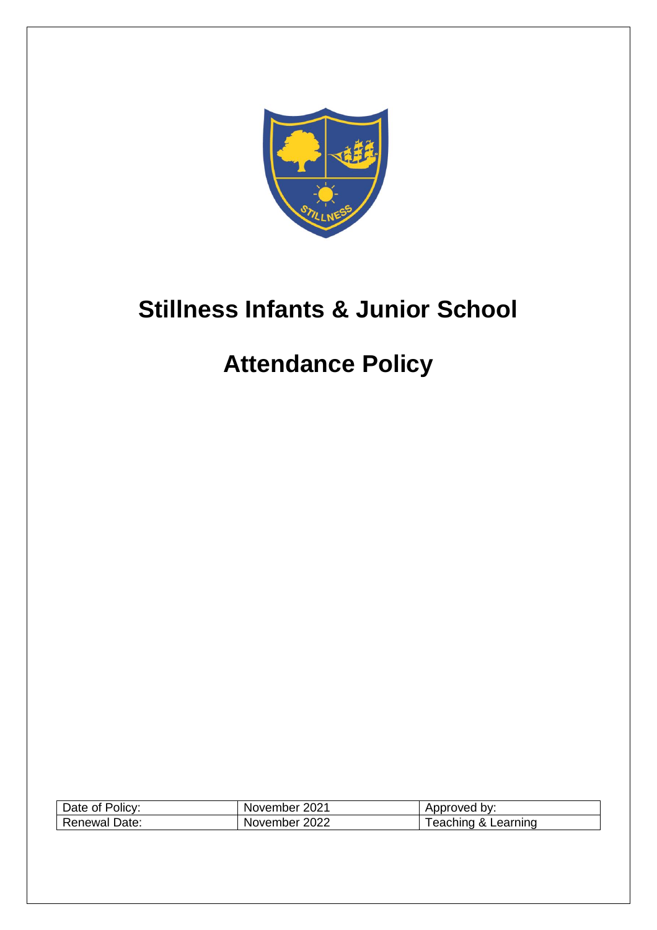

# **Stillness Infants & Junior School**

## **Attendance Policy**

| Date of Policy:      | November 2021 | Approved by:        |
|----------------------|---------------|---------------------|
| <b>Renewal Date:</b> | November 2022 | Feaching & Learning |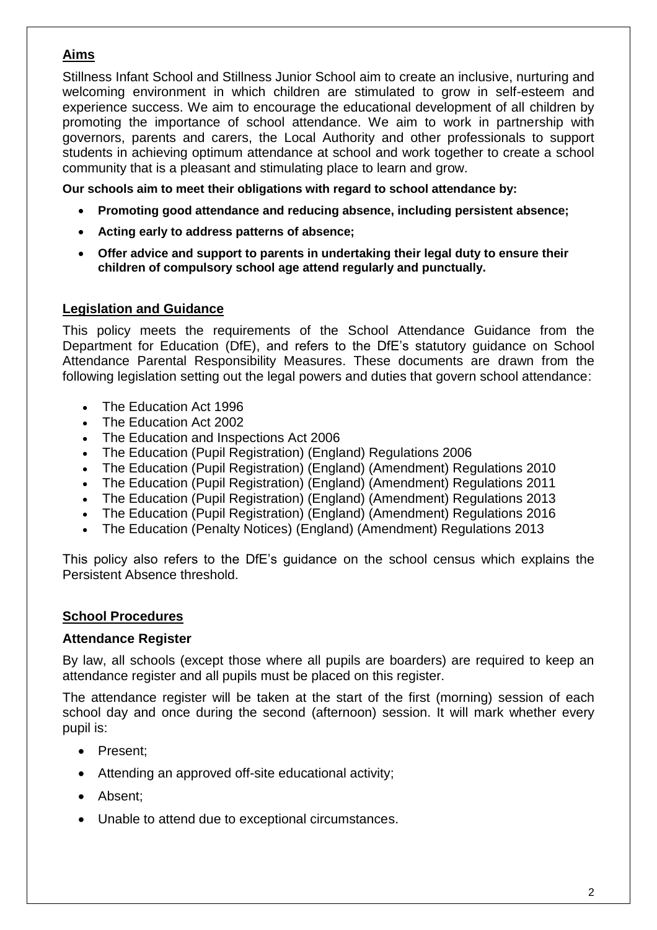## **Aims**

Stillness Infant School and Stillness Junior School aim to create an inclusive, nurturing and welcoming environment in which children are stimulated to grow in self-esteem and experience success. We aim to encourage the educational development of all children by promoting the importance of school attendance. We aim to work in partnership with governors, parents and carers, the Local Authority and other professionals to support students in achieving optimum attendance at school and work together to create a school community that is a pleasant and stimulating place to learn and grow.

**Our schools aim to meet their obligations with regard to school attendance by:**

- **Promoting good attendance and reducing absence, including persistent absence;**
- **Acting early to address patterns of absence;**
- **Offer advice and support to parents in undertaking their legal duty to ensure their children of compulsory school age attend regularly and punctually.**

### **Legislation and Guidance**

This policy meets the requirements of the School Attendance Guidance from the Department for Education (DfE), and refers to the DfE's statutory guidance on [School](https://www.gov.uk/government/publications/parental-responsibility-measures-for-behaviour-and-attendance)  [Attendance Parental Responsibility Measures.](https://www.gov.uk/government/publications/parental-responsibility-measures-for-behaviour-and-attendance) These documents are drawn from the following legislation setting out the legal powers and duties that govern school attendance:

- [The Education Act 1996](https://www.legislation.gov.uk/ukpga/1996/56/part/VI/chapter/II)
- [The Education Act 2002](http://www.legislation.gov.uk/ukpga/2002/32/part/3/chapter/3)
- [The Education and Inspections Act 2006](http://www.legislation.gov.uk/ukpga/2006/40/part/7/chapter/2/crossheading/school-attendance)
- [The Education \(Pupil Registration\) \(England\) Regulations 2006](http://www.legislation.gov.uk/uksi/2006/1751/contents/made)
- [The Education \(Pupil Registration\) \(England\) \(Amendment\) Regulations 2010](http://www.centralbedfordshire.gov.uk/Images/amendment-regulation-2010_tcm3-8642.pdf)
- [The Education \(Pupil Registration\) \(England\) \(Amendment\) Regulations 2011](http://www.legislation.gov.uk/uksi/2011/1625/made)
- [The Education \(Pupil Registration\) \(England\) \(Amendment\) Regulations 2013](http://www.legislation.gov.uk/uksi/2013/756/made)
- [The Education \(Pupil Registration\) \(England\) \(Amendment\) Regulations 2016](http://legislation.data.gov.uk/uksi/2016/792/made/data.html)
- [The Education \(Penalty Notices\) \(England\) \(Amendment\) Regulations 2013](http://www.legislation.gov.uk/uksi/2013/756/pdfs/uksiem_20130756_en.pdf)

This policy also refers to the DfE's guidance on the [school census](https://www.gov.uk/government/publications/school-census-2017-to-2018-guide-for-schools-and-las) which explains the Persistent Absence threshold.

### **School Procedures**

### **Attendance Register**

By law, all schools (except those where all pupils are boarders) are required to keep an attendance register and all pupils must be placed on this register.

The attendance register will be taken at the start of the first (morning) session of each school day and once during the second (afternoon) session. It will mark whether every pupil is:

- Present:
- Attending an approved off-site educational activity;
- Absent:
- Unable to attend due to exceptional circumstances.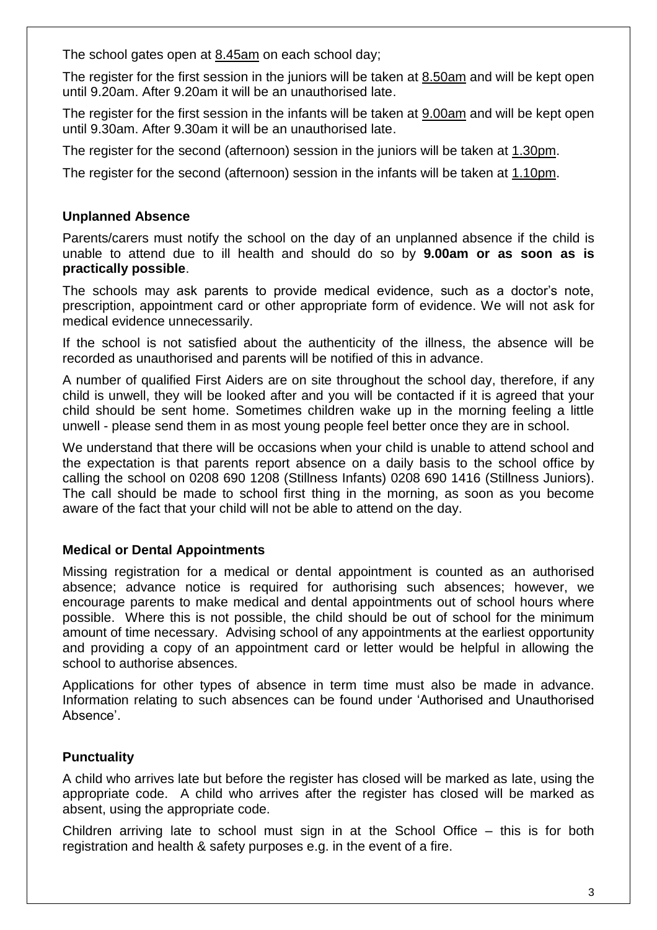The school gates open at 8.45am on each school day;

The register for the first session in the juniors will be taken at  $8.50am$  and will be kept open until 9.20am. After 9.20am it will be an unauthorised late.

The register for the first session in the infants will be taken at 9.00am and will be kept open until 9.30am. After 9.30am it will be an unauthorised late.

The register for the second (afternoon) session in the juniors will be taken at 1.30pm.

The register for the second (afternoon) session in the infants will be taken at 1.10pm.

## **Unplanned Absence**

Parents/carers must notify the school on the day of an unplanned absence if the child is unable to attend due to ill health and should do so by **9.00am or as soon as is practically possible**.

The schools may ask parents to provide medical evidence, such as a doctor's note, prescription, appointment card or other appropriate form of evidence. We will not ask for medical evidence unnecessarily.

If the school is not satisfied about the authenticity of the illness, the absence will be recorded as unauthorised and parents will be notified of this in advance.

A number of qualified First Aiders are on site throughout the school day, therefore, if any child is unwell, they will be looked after and you will be contacted if it is agreed that your child should be sent home. Sometimes children wake up in the morning feeling a little unwell - please send them in as most young people feel better once they are in school.

We understand that there will be occasions when your child is unable to attend school and the expectation is that parents report absence on a daily basis to the school office by calling the school on 0208 690 1208 (Stillness Infants) 0208 690 1416 (Stillness Juniors). The call should be made to school first thing in the morning, as soon as you become aware of the fact that your child will not be able to attend on the day.

## **Medical or Dental Appointments**

Missing registration for a medical or dental appointment is counted as an authorised absence; advance notice is required for authorising such absences; however, we encourage parents to make medical and dental appointments out of school hours where possible. Where this is not possible, the child should be out of school for the minimum amount of time necessary. Advising school of any appointments at the earliest opportunity and providing a copy of an appointment card or letter would be helpful in allowing the school to authorise absences.

Applications for other types of absence in term time must also be made in advance. Information relating to such absences can be found under 'Authorised and Unauthorised Absence'.

## **Punctuality**

A child who arrives late but before the register has closed will be marked as late, using the appropriate code. A child who arrives after the register has closed will be marked as absent, using the appropriate code.

Children arriving late to school must sign in at the School Office – this is for both registration and health & safety purposes e.g. in the event of a fire.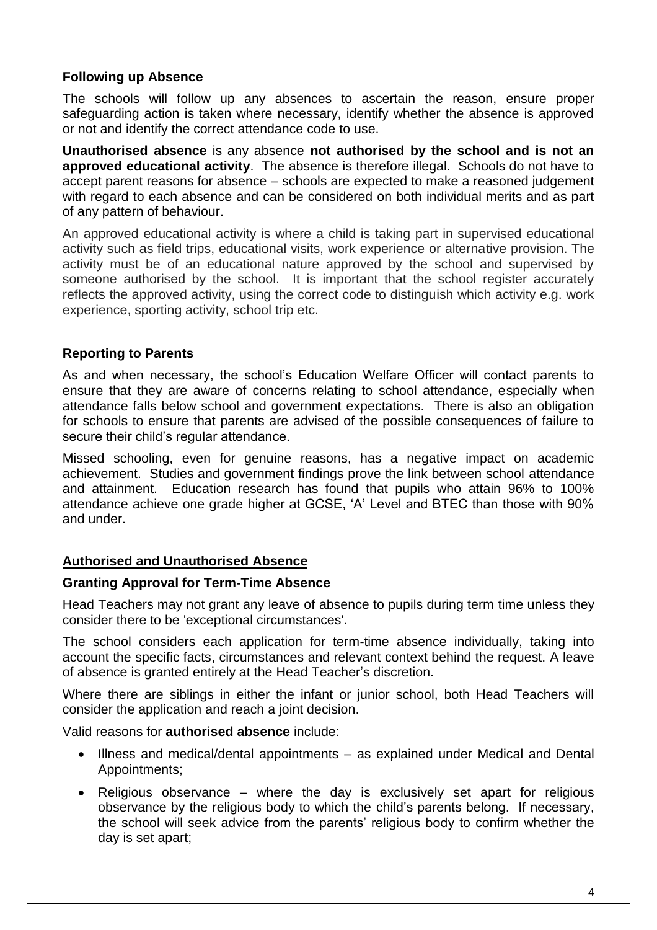## **Following up Absence**

The schools will follow up any absences to ascertain the reason, ensure proper safeguarding action is taken where necessary, identify whether the absence is approved or not and identify the correct attendance code to use.

**Unauthorised absence** is any absence **not authorised by the school and is not an approved educational activity**. The absence is therefore illegal. Schools do not have to accept parent reasons for absence – schools are expected to make a reasoned judgement with regard to each absence and can be considered on both individual merits and as part of any pattern of behaviour.

An approved educational activity is where a child is taking part in supervised educational activity such as field trips, educational visits, work experience or alternative provision. The activity must be of an educational nature approved by the school and supervised by someone authorised by the school. It is important that the school register accurately reflects the approved activity, using the correct code to distinguish which activity e.g. work experience, sporting activity, school trip etc.

## **Reporting to Parents**

As and when necessary, the school's Education Welfare Officer will contact parents to ensure that they are aware of concerns relating to school attendance, especially when attendance falls below school and government expectations. There is also an obligation for schools to ensure that parents are advised of the possible consequences of failure to secure their child's regular attendance.

Missed schooling, even for genuine reasons, has a negative impact on academic achievement. Studies and government findings prove the link between school attendance and attainment. Education research has found that pupils who attain 96% to 100% attendance achieve one grade higher at GCSE, 'A' Level and BTEC than those with 90% and under.

### **Authorised and Unauthorised Absence**

### **Granting Approval for Term-Time Absence**

Head Teachers may not grant any leave of absence to pupils during term time unless they consider there to be 'exceptional circumstances'.

The school considers each application for term-time absence individually, taking into account the specific facts, circumstances and relevant context behind the request. A leave of absence is granted entirely at the Head Teacher's discretion.

Where there are siblings in either the infant or junior school, both Head Teachers will consider the application and reach a joint decision.

Valid reasons for **authorised absence** include:

- Illness and medical/dental appointments as explained under Medical and Dental Appointments;
- Religious observance where the day is exclusively set apart for religious observance by the religious body to which the child's parents belong. If necessary, the school will seek advice from the parents' religious body to confirm whether the day is set apart;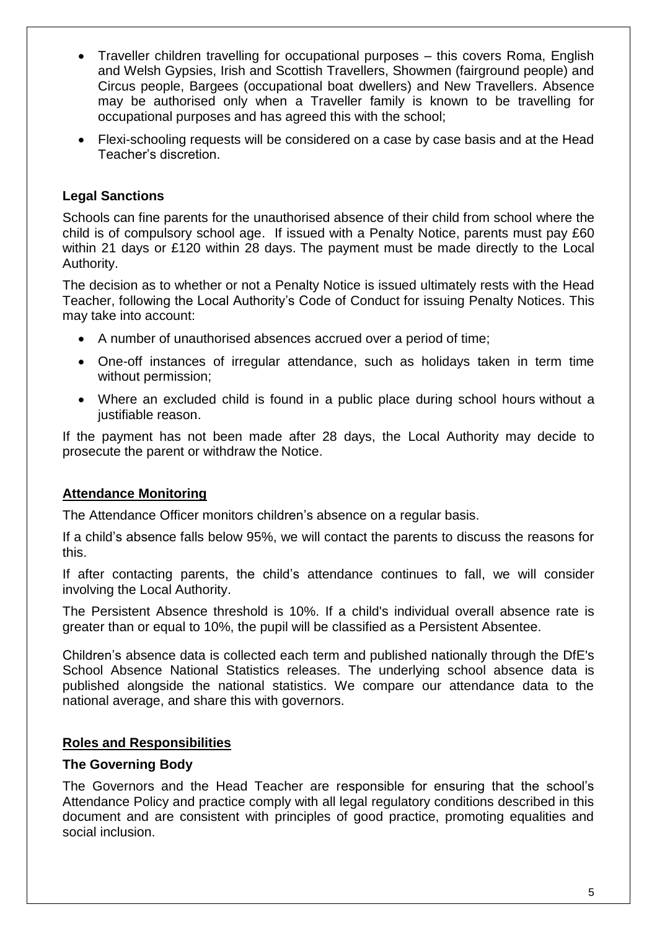- Traveller children travelling for occupational purposes this covers Roma, English and Welsh Gypsies, Irish and Scottish Travellers, Showmen (fairground people) and Circus people, Bargees (occupational boat dwellers) and New Travellers. Absence may be authorised only when a Traveller family is known to be travelling for occupational purposes and has agreed this with the school;
- Flexi-schooling requests will be considered on a case by case basis and at the Head Teacher's discretion.

## **Legal Sanctions**

Schools can fine parents for the unauthorised absence of their child from school where the child is of compulsory school age. If issued with a Penalty Notice, parents must pay £60 within 21 days or £120 within 28 days. The payment must be made directly to the Local Authority.

The decision as to whether or not a Penalty Notice is issued ultimately rests with the Head Teacher, following the Local Authority's Code of Conduct for issuing Penalty Notices. This may take into account:

- A number of unauthorised absences accrued over a period of time;
- One-off instances of irregular attendance, such as holidays taken in term time without permission;
- Where an excluded child is found in a public place during school hours without a justifiable reason.

If the payment has not been made after 28 days, the Local Authority may decide to prosecute the parent or withdraw the Notice.

## **Attendance Monitoring**

The Attendance Officer monitors children's absence on a regular basis.

If a child's absence falls below 95%, we will contact the parents to discuss the reasons for this.

If after contacting parents, the child's attendance continues to fall, we will consider involving the Local Authority.

The Persistent Absence threshold is 10%. If a child's individual overall absence rate is greater than or equal to 10%, the pupil will be classified as a Persistent Absentee.

Children's absence data is collected each term and published nationally through the DfE's School Absence National Statistics releases. The underlying school absence data is published alongside the national statistics. We compare our attendance data to the national average, and share this with governors.

### **Roles and Responsibilities**

### **The Governing Body**

The Governors and the Head Teacher are responsible for ensuring that the school's Attendance Policy and practice comply with all legal regulatory conditions described in this document and are consistent with principles of good practice, promoting equalities and social inclusion.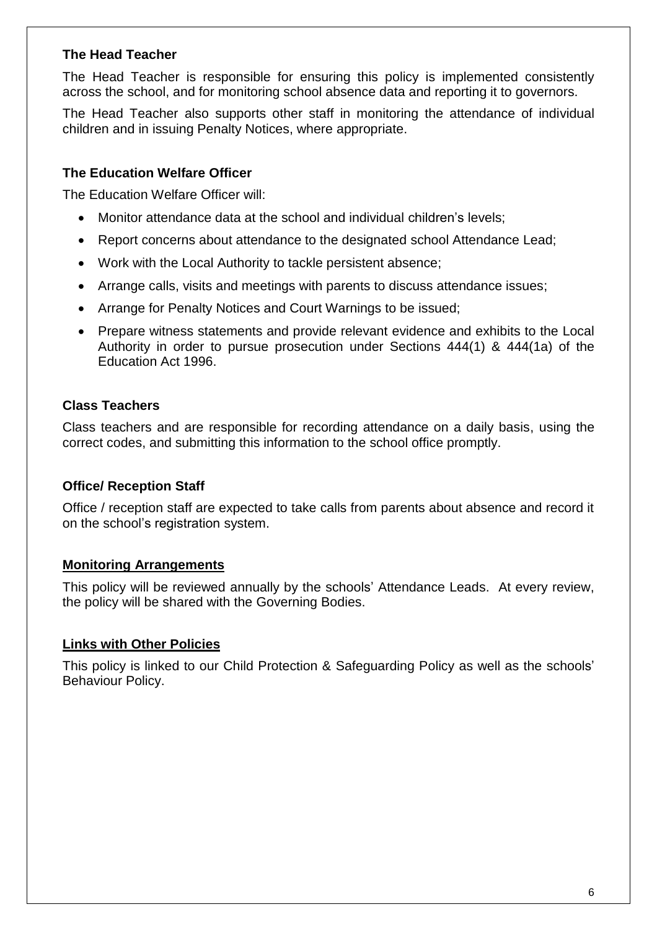## **The Head Teacher**

The Head Teacher is responsible for ensuring this policy is implemented consistently across the school, and for monitoring school absence data and reporting it to governors.

The Head Teacher also supports other staff in monitoring the attendance of individual children and in issuing Penalty Notices, where appropriate.

## **The Education Welfare Officer**

The Education Welfare Officer will:

- Monitor attendance data at the school and individual children's levels;
- Report concerns about attendance to the designated school Attendance Lead;
- Work with the Local Authority to tackle persistent absence;
- Arrange calls, visits and meetings with parents to discuss attendance issues;
- Arrange for Penalty Notices and Court Warnings to be issued;
- Prepare witness statements and provide relevant evidence and exhibits to the Local Authority in order to pursue prosecution under Sections 444(1) & 444(1a) of the Education Act 1996.

### **Class Teachers**

Class teachers and are responsible for recording attendance on a daily basis, using the correct codes, and submitting this information to the school office promptly.

### **Office/ Reception Staff**

Office / reception staff are expected to take calls from parents about absence and record it on the school's registration system.

### **Monitoring Arrangements**

This policy will be reviewed annually by the schools' Attendance Leads. At every review, the policy will be shared with the Governing Bodies.

### **Links with Other Policies**

This policy is linked to our Child Protection & Safeguarding Policy as well as the schools' Behaviour Policy.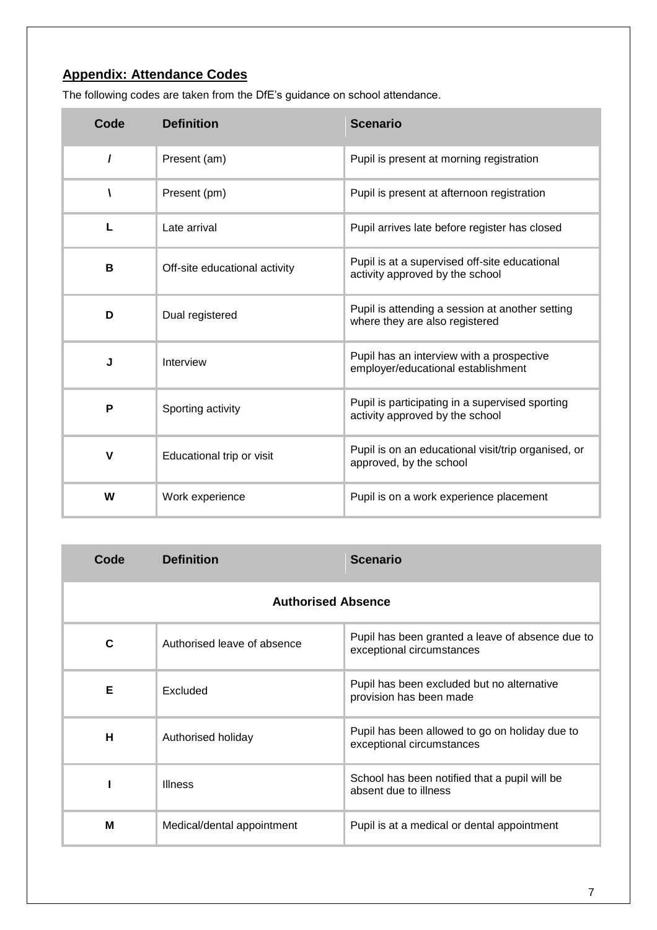## **Appendix: Attendance Codes**

The following codes are taken from the DfE's guidance on school attendance.

| Code         | <b>Definition</b>             | <b>Scenario</b>                                                                    |
|--------------|-------------------------------|------------------------------------------------------------------------------------|
| $\prime$     | Present (am)                  | Pupil is present at morning registration                                           |
|              | Present (pm)                  | Pupil is present at afternoon registration                                         |
| L            | Late arrival                  | Pupil arrives late before register has closed                                      |
| В            | Off-site educational activity | Pupil is at a supervised off-site educational<br>activity approved by the school   |
| D            | Dual registered               | Pupil is attending a session at another setting<br>where they are also registered  |
| J            | Interview                     | Pupil has an interview with a prospective<br>employer/educational establishment    |
| P            | Sporting activity             | Pupil is participating in a supervised sporting<br>activity approved by the school |
| $\mathsf{V}$ | Educational trip or visit     | Pupil is on an educational visit/trip organised, or<br>approved, by the school     |
| W            | Work experience               | Pupil is on a work experience placement                                            |

| Code                      | <b>Definition</b>           | <b>Scenario</b>                                                               |  |  |
|---------------------------|-----------------------------|-------------------------------------------------------------------------------|--|--|
| <b>Authorised Absence</b> |                             |                                                                               |  |  |
| C                         | Authorised leave of absence | Pupil has been granted a leave of absence due to<br>exceptional circumstances |  |  |
| Е                         | Excluded                    | Pupil has been excluded but no alternative<br>provision has been made         |  |  |
| н                         | Authorised holiday          | Pupil has been allowed to go on holiday due to<br>exceptional circumstances   |  |  |
|                           | <b>Illness</b>              | School has been notified that a pupil will be<br>absent due to illness        |  |  |
| M                         | Medical/dental appointment  | Pupil is at a medical or dental appointment                                   |  |  |